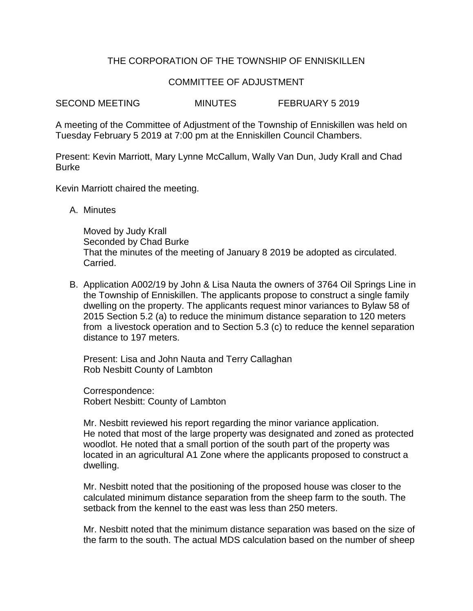## THE CORPORATION OF THE TOWNSHIP OF ENNISKILLEN

## COMMITTEE OF ADJUSTMENT

SECOND MEETING MINUTES FEBRUARY 5 2019

A meeting of the Committee of Adjustment of the Township of Enniskillen was held on Tuesday February 5 2019 at 7:00 pm at the Enniskillen Council Chambers.

Present: Kevin Marriott, Mary Lynne McCallum, Wally Van Dun, Judy Krall and Chad Burke

Kevin Marriott chaired the meeting.

A. Minutes

Moved by Judy Krall Seconded by Chad Burke That the minutes of the meeting of January 8 2019 be adopted as circulated. Carried.

B. Application A002/19 by John & Lisa Nauta the owners of 3764 Oil Springs Line in the Township of Enniskillen. The applicants propose to construct a single family dwelling on the property. The applicants request minor variances to Bylaw 58 of 2015 Section 5.2 (a) to reduce the minimum distance separation to 120 meters from a livestock operation and to Section 5.3 (c) to reduce the kennel separation distance to 197 meters.

Present: Lisa and John Nauta and Terry Callaghan Rob Nesbitt County of Lambton

Correspondence: Robert Nesbitt: County of Lambton

Mr. Nesbitt reviewed his report regarding the minor variance application. He noted that most of the large property was designated and zoned as protected woodlot. He noted that a small portion of the south part of the property was located in an agricultural A1 Zone where the applicants proposed to construct a dwelling.

Mr. Nesbitt noted that the positioning of the proposed house was closer to the calculated minimum distance separation from the sheep farm to the south. The setback from the kennel to the east was less than 250 meters.

Mr. Nesbitt noted that the minimum distance separation was based on the size of the farm to the south. The actual MDS calculation based on the number of sheep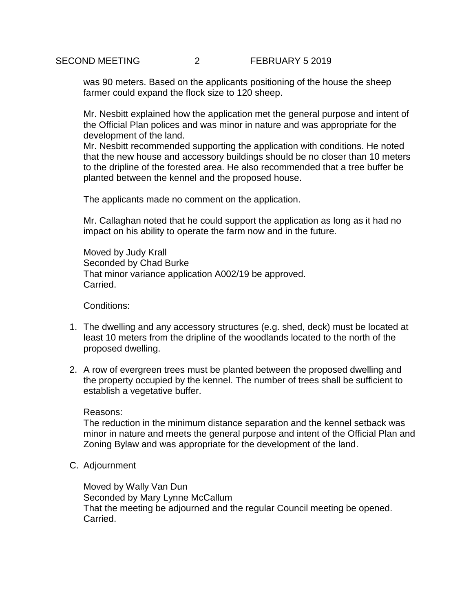was 90 meters. Based on the applicants positioning of the house the sheep farmer could expand the flock size to 120 sheep.

Mr. Nesbitt explained how the application met the general purpose and intent of the Official Plan polices and was minor in nature and was appropriate for the development of the land.

Mr. Nesbitt recommended supporting the application with conditions. He noted that the new house and accessory buildings should be no closer than 10 meters to the dripline of the forested area. He also recommended that a tree buffer be planted between the kennel and the proposed house.

The applicants made no comment on the application.

Mr. Callaghan noted that he could support the application as long as it had no impact on his ability to operate the farm now and in the future.

Moved by Judy Krall Seconded by Chad Burke That minor variance application A002/19 be approved. Carried.

Conditions:

- 1. The dwelling and any accessory structures (e.g. shed, deck) must be located at least 10 meters from the dripline of the woodlands located to the north of the proposed dwelling.
- 2. A row of evergreen trees must be planted between the proposed dwelling and the property occupied by the kennel. The number of trees shall be sufficient to establish a vegetative buffer.

Reasons:

The reduction in the minimum distance separation and the kennel setback was minor in nature and meets the general purpose and intent of the Official Plan and Zoning Bylaw and was appropriate for the development of the land.

C. Adjournment

Moved by Wally Van Dun Seconded by Mary Lynne McCallum That the meeting be adjourned and the regular Council meeting be opened. Carried.